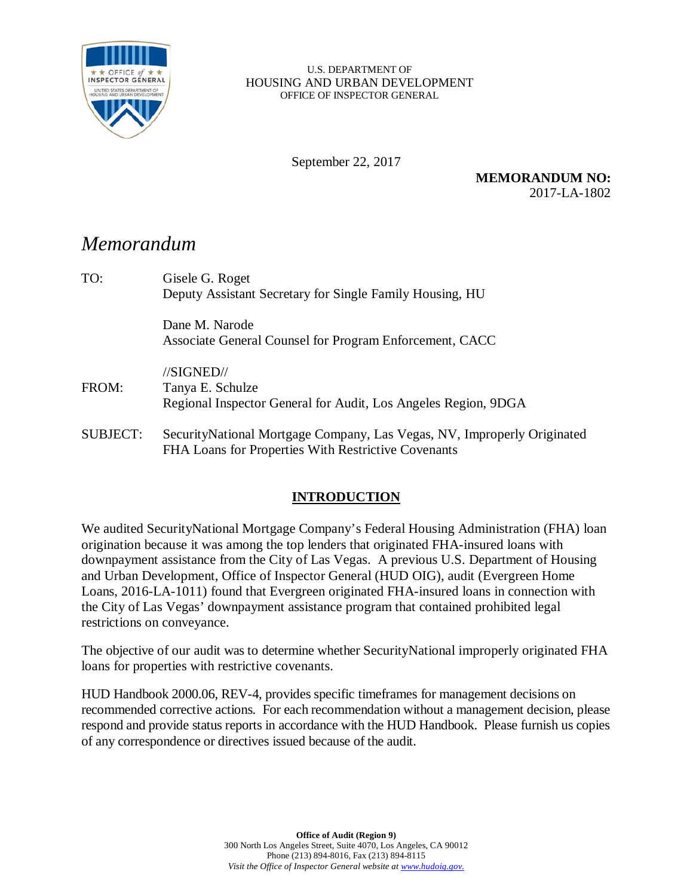

#### U.S. DEPARTMENT OF HOUSING AND URBAN DEVELOPMENT OFFICE OF INSPECTOR GENERAL

September 22, 2017

**MEMORANDUM NO:** 2017-LA-1802

# *Memorandum*

| TO:             | Gisele G. Roget                                                          |
|-----------------|--------------------------------------------------------------------------|
|                 | Deputy Assistant Secretary for Single Family Housing, HU                 |
|                 | Dane M. Narode                                                           |
|                 | Associate General Counsel for Program Enforcement, CACC                  |
|                 | //SIGNED//                                                               |
| FROM:           | Tanya E. Schulze                                                         |
|                 | Regional Inspector General for Audit, Los Angeles Region, 9DGA           |
| <b>SUBJECT:</b> | Security National Mortgage Company, Las Vegas, NV, Improperly Originated |
|                 | FHA Loans for Properties With Restrictive Covenants                      |

### **INTRODUCTION**

We audited SecurityNational Mortgage Company's Federal Housing Administration (FHA) loan origination because it was among the top lenders that originated FHA-insured loans with downpayment assistance from the City of Las Vegas. A previous U.S. Department of Housing and Urban Development, Office of Inspector General (HUD OIG), audit (Evergreen Home Loans, 2016-LA-1011) found that Evergreen originated FHA-insured loans in connection with the City of Las Vegas' downpayment assistance program that contained prohibited legal restrictions on conveyance.

The objective of our audit was to determine whether SecurityNational improperly originated FHA loans for properties with restrictive covenants.

HUD Handbook 2000.06, REV-4, provides specific timeframes for management decisions on recommended corrective actions. For each recommendation without a management decision, please respond and provide status reports in accordance with the HUD Handbook. Please furnish us copies of any correspondence or directives issued because of the audit.

> **Office of Audit (Region 9)** 300 North Los Angeles Street, Suite 4070, Los Angeles, CA 90012 Phone (213) 894-8016, Fax (213) 894-8115 *Visit the Office of Inspector General website a[t www.hudoig.gov.](http://www.hudoig.gov/)*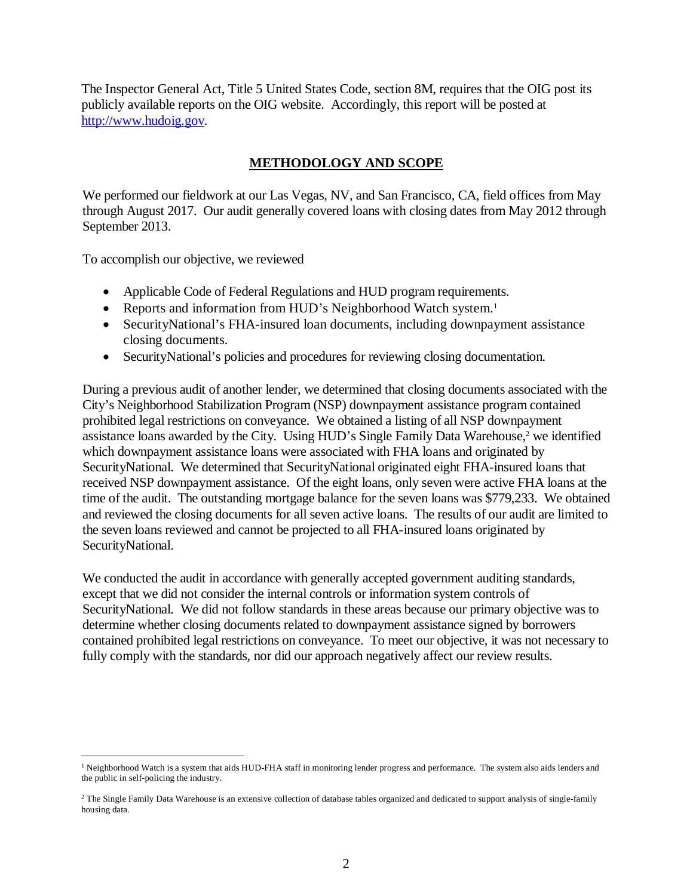The Inspector General Act, Title 5 United States Code, section 8M, requires that the OIG post its publicly available reports on the OIG website. Accordingly, this report will be posted at [http://www.hudoig.gov.](http://www.hudoig.gov/)

### **METHODOLOGY AND SCOPE**

We performed our fieldwork at our Las Vegas, NV, and San Francisco, CA, field offices from May through August 2017. Our audit generally covered loans with closing dates from May 2012 through September 2013.

To accomplish our objective, we reviewed

 $\overline{\phantom{a}}$ 

- Applicable Code of Federal Regulations and HUD program requirements.
- Reports and information from HUD's Neighborhood Watch system. 1
- SecurityNational's FHA-insured loan documents, including downpayment assistance closing documents.
- SecurityNational's policies and procedures for reviewing closing documentation.

During a previous audit of another lender, we determined that closing documents associated with the City's Neighborhood Stabilization Program (NSP) downpayment assistance program contained prohibited legal restrictions on conveyance. We obtained a listing of all NSP downpayment assistance loans awarded by the City. Using HUD's Single Family Data Warehouse, <sup>2</sup> we identified which downpayment assistance loans were associated with FHA loans and originated by SecurityNational. We determined that SecurityNational originated eight FHA-insured loans that received NSP downpayment assistance. Of the eight loans, only seven were active FHA loans at the time of the audit. The outstanding mortgage balance for the seven loans was \$779,233. We obtained and reviewed the closing documents for all seven active loans. The results of our audit are limited to the seven loans reviewed and cannot be projected to all FHA-insured loans originated by SecurityNational.

We conducted the audit in accordance with generally accepted government auditing standards, except that we did not consider the internal controls or information system controls of SecurityNational. We did not follow standards in these areas because our primary objective was to determine whether closing documents related to downpayment assistance signed by borrowers contained prohibited legal restrictions on conveyance. To meet our objective, it was not necessary to fully comply with the standards, nor did our approach negatively affect our review results.

<sup>&</sup>lt;sup>1</sup> Neighborhood Watch is a system that aids HUD-FHA staff in monitoring lender progress and performance. The system also aids lenders and the public in self-policing the industry.

<sup>2</sup> The Single Family Data Warehouse is an extensive collection of database tables organized and dedicated to support analysis of single-family housing data.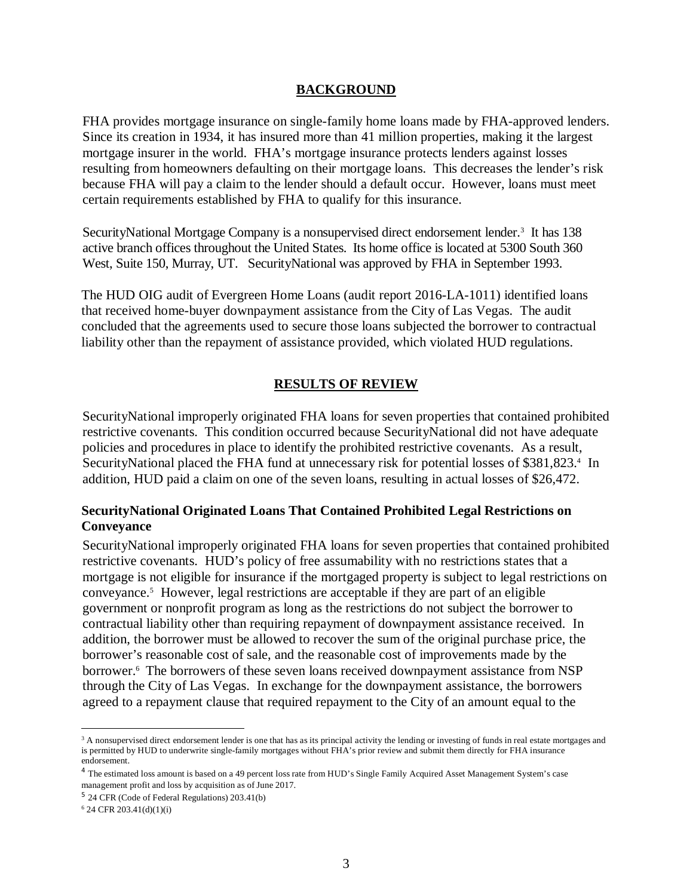#### **BACKGROUND**

FHA provides mortgage insurance on single-family home loans made by FHA-approved lenders. Since its creation in 1934, it has insured more than 41 million properties, making it the largest mortgage insurer in the world. FHA's mortgage insurance protects lenders against losses resulting from homeowners defaulting on their mortgage loans. This decreases the lender's risk because FHA will pay a claim to the lender should a default occur. However, loans must meet certain requirements established by FHA to qualify for this insurance.

SecurityNational Mortgage Company is a nonsupervised direct endorsement lender. <sup>3</sup> It has 138 active branch offices throughout the United States. Its home office is located at 5300 South 360 West, Suite 150, Murray, UT. Security National was approved by FHA in September 1993.

The HUD OIG audit of Evergreen Home Loans (audit report 2016-LA-1011) identified loans that received home-buyer downpayment assistance from the City of Las Vegas. The audit concluded that the agreements used to secure those loans subjected the borrower to contractual liability other than the repayment of assistance provided, which violated HUD regulations.

#### **RESULTS OF REVIEW**

SecurityNational improperly originated FHA loans for seven properties that contained prohibited restrictive covenants. This condition occurred because SecurityNational did not have adequate policies and procedures in place to identify the prohibited restrictive covenants. As a result, SecurityNational placed the FHA fund at unnecessary risk for potential losses of \$381,823. <sup>4</sup> In addition, HUD paid a claim on one of the seven loans, resulting in actual losses of \$26,472.

#### **SecurityNational Originated Loans That Contained Prohibited Legal Restrictions on Conveyance**

SecurityNational improperly originated FHA loans for seven properties that contained prohibited restrictive covenants. HUD's policy of free assumability with no restrictions states that a mortgage is not eligible for insurance if the mortgaged property is subject to legal restrictions on conveyance. 5 However, legal restrictions are acceptable if they are part of an eligible government or nonprofit program as long as the restrictions do not subject the borrower to contractual liability other than requiring repayment of downpayment assistance received. In addition, the borrower must be allowed to recover the sum of the original purchase price, the borrower's reasonable cost of sale, and the reasonable cost of improvements made by the borrower. <sup>6</sup> The borrowers of these seven loans received downpayment assistance from NSP through the City of Las Vegas. In exchange for the downpayment assistance, the borrowers agreed to a repayment clause that required repayment to the City of an amount equal to the

 $\overline{\phantom{a}}$ 

<sup>&</sup>lt;sup>3</sup> A nonsupervised direct endorsement lender is one that has as its principal activity the lending or investing of funds in real estate mortgages and is permitted by HUD to underwrite single-family mortgages without FHA's prior review and submit them directly for FHA insurance endorsement.

<sup>&</sup>lt;sup>4</sup> The estimated loss amount is based on a 49 percent loss rate from HUD's Single Family Acquired Asset Management System's case management profit and loss by acquisition as of June 2017.

<sup>5</sup> 24 CFR (Code of Federal Regulations) 203.41(b)

 $6$  24 CFR 203.41(d)(1)(i)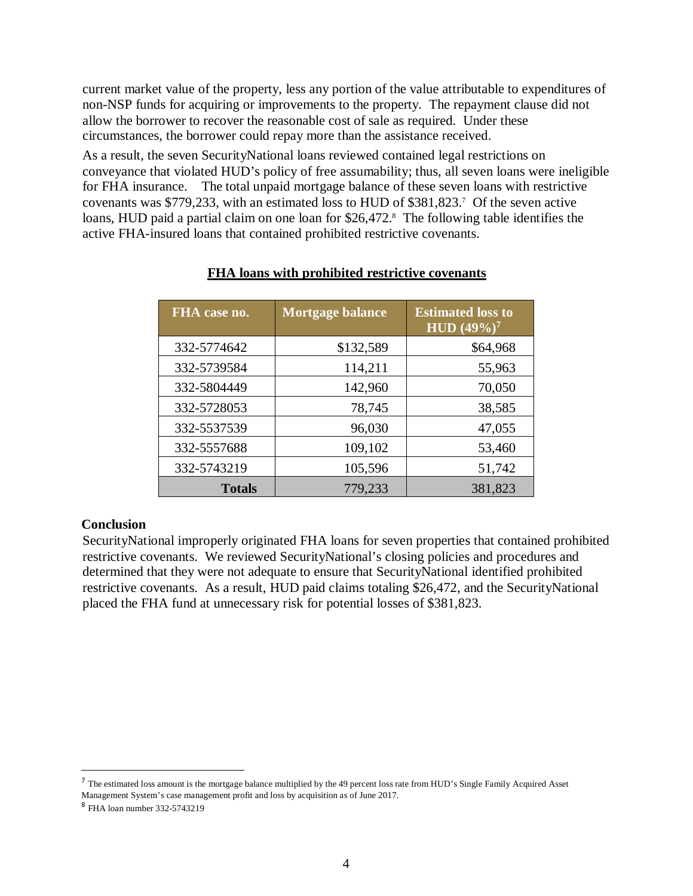current market value of the property, less any portion of the value attributable to expenditures of non-NSP funds for acquiring or improvements to the property. The repayment clause did not allow the borrower to recover the reasonable cost of sale as required. Under these circumstances, the borrower could repay more than the assistance received.

As a result, the seven SecurityNational loans reviewed contained legal restrictions on conveyance that violated HUD's policy of free assumability; thus, all seven loans were ineligible for FHA insurance. The total unpaid mortgage balance of these seven loans with restrictive covenants was \$779,233, with an estimated loss to HUD of \$381,823. 7 Of the seven active loans, HUD paid a partial claim on one loan for \$26,472. 8 The following table identifies the active FHA-insured loans that contained prohibited restrictive covenants.

| FHA case no.  | <b>Mortgage balance</b> | <b>Estimated loss to</b><br>$\overline{HUD}$ (49%) <sup>7</sup> |
|---------------|-------------------------|-----------------------------------------------------------------|
| 332-5774642   | \$132,589               | \$64,968                                                        |
| 332-5739584   | 114,211                 | 55,963                                                          |
| 332-5804449   | 142,960                 | 70,050                                                          |
| 332-5728053   | 78,745                  | 38,585                                                          |
| 332-5537539   | 96,030                  | 47,055                                                          |
| 332-5557688   | 109,102                 | 53,460                                                          |
| 332-5743219   | 105,596                 | 51,742                                                          |
| <b>Totals</b> | 779,233                 | 381,823                                                         |

#### **FHA loans with prohibited restrictive covenants**

#### **Conclusion**

SecurityNational improperly originated FHA loans for seven properties that contained prohibited restrictive covenants. We reviewed SecurityNational's closing policies and procedures and determined that they were not adequate to ensure that SecurityNational identified prohibited restrictive covenants. As a result, HUD paid claims totaling \$26,472, and the SecurityNational placed the FHA fund at unnecessary risk for potential losses of \$381,823.

<sup>&</sup>lt;sup>7</sup> The estimated loss amount is the mortgage balance multiplied by the 49 percent loss rate from HUD's Single Family Acquired Asset Management System's case management profit and loss by acquisition as of June 2017.

<sup>8</sup> FHA loan number 332-5743219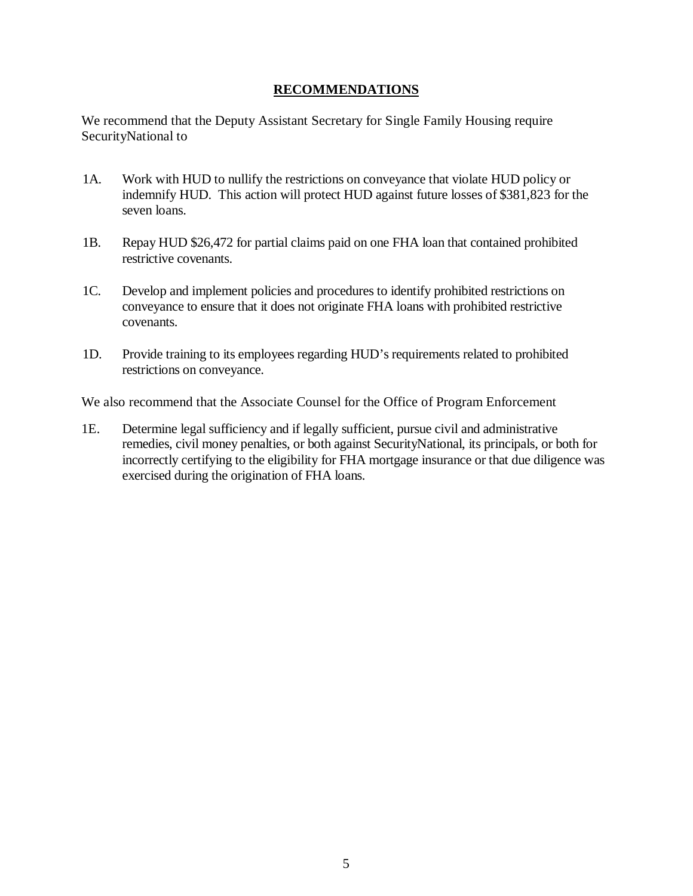#### **RECOMMENDATIONS**

We recommend that the Deputy Assistant Secretary for Single Family Housing require SecurityNational to

- 1A. Work with HUD to nullify the restrictions on conveyance that violate HUD policy or indemnify HUD. This action will protect HUD against future losses of \$381,823 for the seven loans.
- 1B. Repay HUD \$26,472 for partial claims paid on one FHA loan that contained prohibited restrictive covenants.
- 1C. Develop and implement policies and procedures to identify prohibited restrictions on conveyance to ensure that it does not originate FHA loans with prohibited restrictive covenants.
- 1D. Provide training to its employees regarding HUD's requirements related to prohibited restrictions on conveyance.

We also recommend that the Associate Counsel for the Office of Program Enforcement

1E. Determine legal sufficiency and if legally sufficient, pursue civil and administrative remedies, civil money penalties, or both against SecurityNational, its principals, or both for incorrectly certifying to the eligibility for FHA mortgage insurance or that due diligence was exercised during the origination of FHA loans.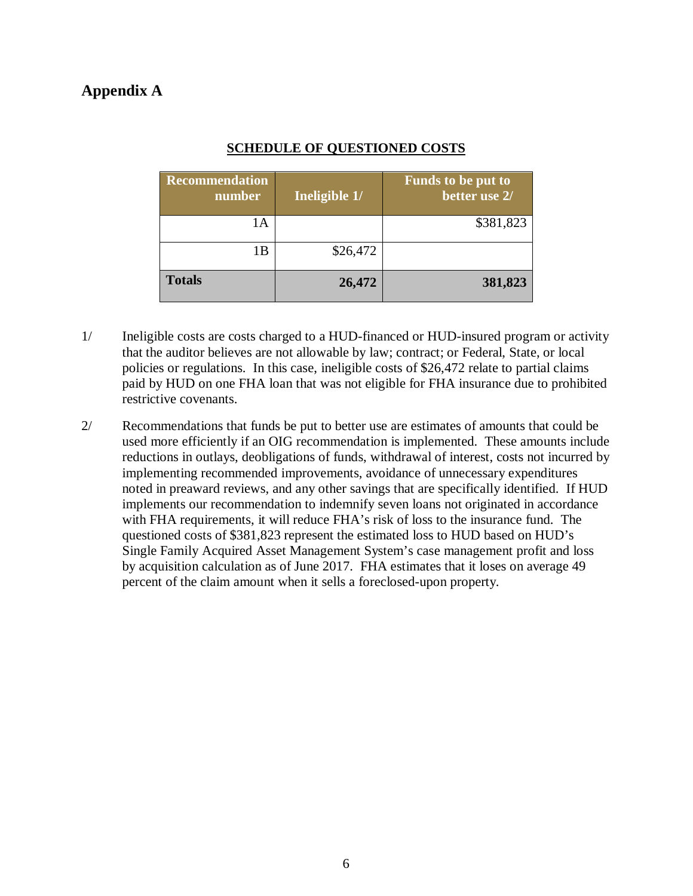## **Appendix A**

| <b>Recommendation</b><br>number | Ineligible 1/ | <b>Funds to be put to</b><br>better use 2/ |
|---------------------------------|---------------|--------------------------------------------|
| lА                              |               | \$381,823                                  |
| 1B                              | \$26,472      |                                            |
| <b>Totals</b>                   | 26,472        | 381,823                                    |

### **SCHEDULE OF QUESTIONED COSTS**

- 1/ Ineligible costs are costs charged to a HUD-financed or HUD-insured program or activity that the auditor believes are not allowable by law; contract; or Federal, State, or local policies or regulations. In this case, ineligible costs of \$26,472 relate to partial claims paid by HUD on one FHA loan that was not eligible for FHA insurance due to prohibited restrictive covenants.
- 2/ Recommendations that funds be put to better use are estimates of amounts that could be used more efficiently if an OIG recommendation is implemented. These amounts include reductions in outlays, deobligations of funds, withdrawal of interest, costs not incurred by implementing recommended improvements, avoidance of unnecessary expenditures noted in preaward reviews, and any other savings that are specifically identified. If HUD implements our recommendation to indemnify seven loans not originated in accordance with FHA requirements, it will reduce FHA's risk of loss to the insurance fund. The questioned costs of \$381,823 represent the estimated loss to HUD based on HUD's Single Family Acquired Asset Management System's case management profit and loss by acquisition calculation as of June 2017. FHA estimates that it loses on average 49 percent of the claim amount when it sells a foreclosed-upon property.